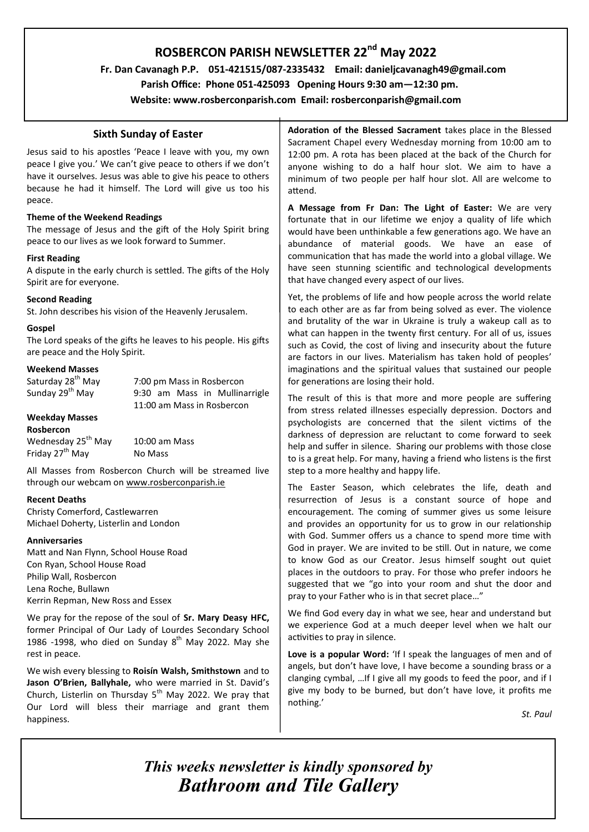# **ROSBERCON PARISH NEWSLETTER 22nd May 2022**

 **Fr. Dan Cavanagh P.P. 051-421515/087-2335432 Email: danieljcavanagh49@gmail.com**

 **Parish Office: Phone 051-425093****Opening Hours 9:30 am—12:30 pm.**

**Website: www.rosberconparish.com Email: rosberconparish@gmail.com**

### **Sixth Sunday of Easter**

Jesus said to his apostles 'Peace I leave with you, my own peace I give you.' We can't give peace to others if we don't have it ourselves. Jesus was able to give his peace to others because he had it himself. The Lord will give us too his peace.

### **Theme of the Weekend Readings**

The message of Jesus and the gift of the Holy Spirit bring peace to our lives as we look forward to Summer.

### **First Reading**

A dispute in the early church is settled. The gifts of the Holy Spirit are for everyone.

### **Second Reading**

St. John describes his vision of the Heavenly Jerusalem.

### **Gospel**

The Lord speaks of the gifts he leaves to his people. His gifts are peace and the Holy Spirit.

### **Weekend Masses**

Saturday 28<sup>th</sup> May 7:00 pm Mass in Rosbercon<br>Sunday 29<sup>th</sup> May 9:30 am Mass in Mullina 9:30 am Mass in Mullinarrigle 11:00 am Mass in Rosbercon

#### **Weekday Masses Rosbercon**

| NUSHEI LUIT                    |                 |
|--------------------------------|-----------------|
| Wednesday 25 <sup>th</sup> May | $10:00$ am Mass |
| Friday 27 <sup>th</sup> May    | No Mass         |

All Masses from Rosbercon Church will be streamed live through our webcam on [www.rosberconparish.ie](http://www.rosberconparish.ie/)

### **Recent Deaths**

Christy Comerford, Castlewarren Michael Doherty, Listerlin and London

### **Anniversaries**

Matt and Nan Flynn, School House Road Con Ryan, School House Road Philip Wall, Rosbercon Lena Roche, Bullawn Kerrin Repman, New Ross and Essex

We pray for the repose of the soul of **Sr. Mary Deasy HFC,**  former Principal of Our Lady of Lourdes Secondary School 1986 -1998, who died on Sunday  $8<sup>th</sup>$  May 2022. May she rest in peace.

We wish every blessing to **Roisín Walsh, Smithstown** and to **Jason O'Brien, Ballyhale,** who were married in St. David's Church, Listerlin on Thursday  $5<sup>th</sup>$  May 2022. We pray that Our Lord will bless their marriage and grant them happiness.

**Adoration of the Blessed Sacrament** takes place in the Blessed Sacrament Chapel every Wednesday morning from 10:00 am to 12:00 pm. A rota has been placed at the back of the Church for anyone wishing to do a half hour slot. We aim to have a minimum of two people per half hour slot. All are welcome to attend.

**A Message from Fr Dan: The Light of Easter:** We are very fortunate that in our lifetime we enjoy a quality of life which would have been unthinkable a few generations ago. We have an abundance of material goods. We have an ease of communication that has made the world into a global village. We have seen stunning scientific and technological developments that have changed every aspect of our lives.

Yet, the problems of life and how people across the world relate to each other are as far from being solved as ever. The violence and brutality of the war in Ukraine is truly a wakeup call as to what can happen in the twenty first century. For all of us, issues such as Covid, the cost of living and insecurity about the future are factors in our lives. Materialism has taken hold of peoples' imaginations and the spiritual values that sustained our people for generations are losing their hold.

The result of this is that more and more people are suffering from stress related illnesses especially depression. Doctors and psychologists are concerned that the silent victims of the darkness of depression are reluctant to come forward to seek help and suffer in silence. Sharing our problems with those close to is a great help. For many, having a friend who listens is the first step to a more healthy and happy life.

The Easter Season, which celebrates the life, death and resurrection of Jesus is a constant source of hope and encouragement. The coming of summer gives us some leisure and provides an opportunity for us to grow in our relationship with God. Summer offers us a chance to spend more time with God in prayer. We are invited to be still. Out in nature, we come to know God as our Creator. Jesus himself sought out quiet places in the outdoors to pray. For those who prefer indoors he suggested that we "go into your room and shut the door and pray to your Father who is in that secret place…"

We find God every day in what we see, hear and understand but we experience God at a much deeper level when we halt our activities to pray in silence.

**Love is a popular Word:** 'If I speak the languages of men and of angels, but don't have love, I have become a sounding brass or a clanging cymbal, …If I give all my goods to feed the poor, and if I give my body to be burned, but don't have love, it profits me nothing.'

*St. Paul*

*This weeks newsletter is kindly sponsored by Bathroom and Tile Gallery*